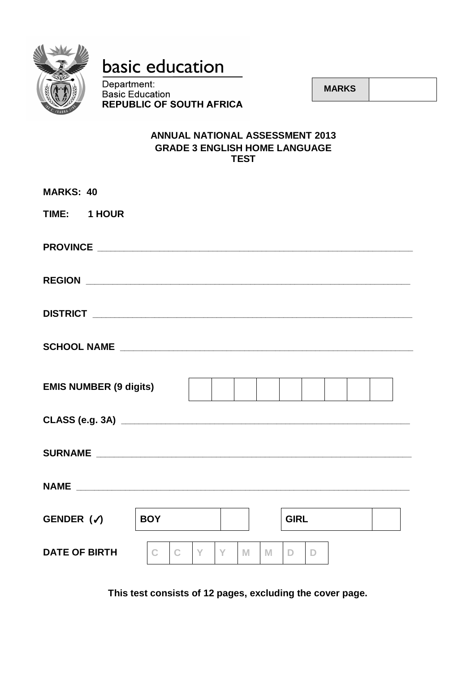

# basic education

Department: **Basic Education<br>REPUBLIC OF SOUTH AFRICA** 

 **MARKS**

# **ANNUAL NATIONAL ASSESSMENT 2013 GRADE 3 ENGLISH HOME LANGUAGE TEST**

| <b>MARKS: 40</b>              |                   |                   |        |                    |  |
|-------------------------------|-------------------|-------------------|--------|--------------------|--|
| TIME: 1 HOUR                  |                   |                   |        |                    |  |
|                               |                   |                   |        |                    |  |
|                               |                   |                   |        |                    |  |
|                               |                   |                   |        |                    |  |
|                               |                   |                   |        |                    |  |
| <b>EMIS NUMBER (9 digits)</b> |                   |                   |        |                    |  |
|                               |                   |                   |        |                    |  |
| <b>SURNAME SURNAME</b>        |                   |                   |        |                    |  |
|                               |                   |                   |        |                    |  |
| GENDER $(\checkmark)$         | <b>BOY</b>        |                   |        | <b>GIRL</b>        |  |
| <b>DATE OF BIRTH</b>          | C<br>$\mathsf{C}$ | $\mathbf{Y}$<br>Y | M<br>M | D.<br>$\mathsf{D}$ |  |

**This test consists of 12 pages, excluding the cover page.**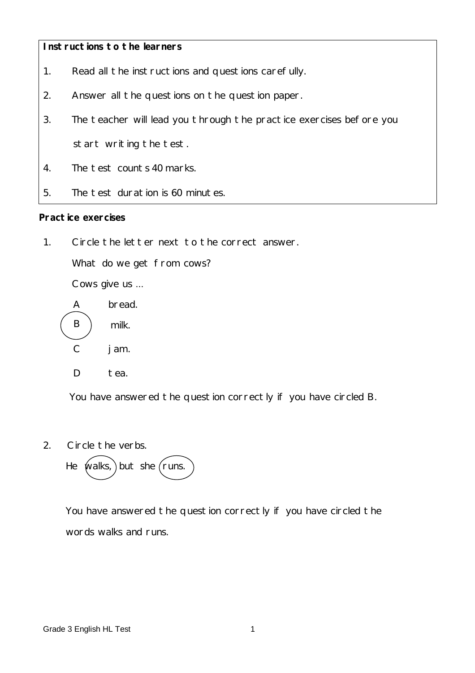## **Instructions to the learners**

- 1. Read all the instructions and questions carefully.
- 2. Answer all the questions on the question paper.
- 3. The teacher will lead you through the practice exercises before you start writing the test.
- 4. The test counts 40 marks.
- 5. The test duration is 60 minutes.

#### **Practice exercises**

1. Circle the letter next to the correct answer.

What do we get from cows?

Cows give us ...



You have answered the question correctly if you have circled B.

2. Circle the verbs.



 You have answered the question correctly if you have circled the words walks and runs.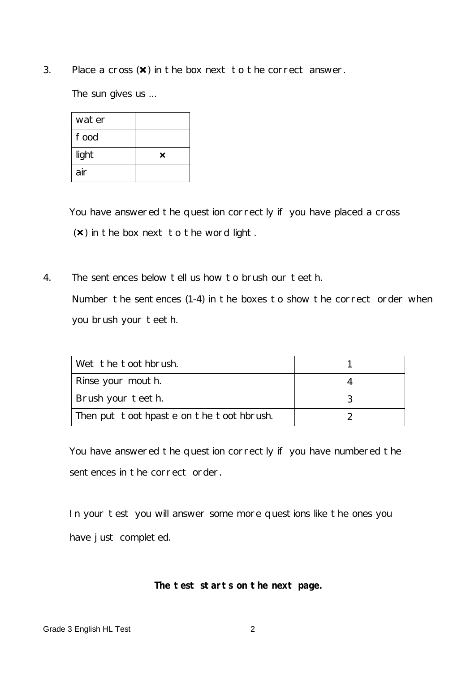3. Place a cross  $(\mathbf{x})$  in the box next to the correct answer.

The sun gives us ...

| water |   |
|-------|---|
| food  |   |
| light | × |
| air   |   |

 You have answered the question correctly if you have placed a cross  $(x)$  in the box next to the word light.

4. The sentences below tell us how to brush our teeth. Number the sentences (1-4) in the boxes to show the correct order when you brush your teeth.

| Wet the toothbrush.                    |  |
|----------------------------------------|--|
| Rinse your mouth.                      |  |
| Brush your teeth.                      |  |
| Then put toothpaste on the toothbrush. |  |

 You have answered the question correctly if you have numbered the sentences in the correct order.

 In your test you will answer some more questions like the ones you have just completed.

#### **The test starts on the next page.**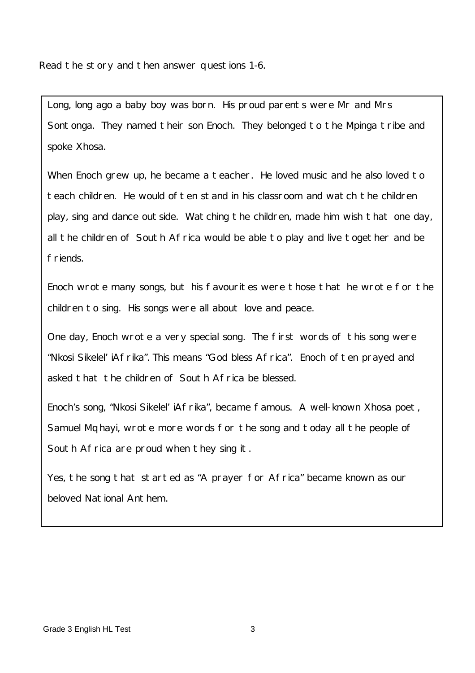Read the story and then answer questions 1-6.

Long, long ago a baby boy was born. His proud parents were Mr and Mrs Sontonga. They named their son Enoch. They belonged to the Mpinga tribe and spoke Xhosa.

When Enoch grew up, he became a teacher. He loved music and he also loved to teach children. He would often stand in his classroom and watch the children play, sing and dance outside. Watching the children, made him wish that one day, all the children of South Africa would be able to play and live together and be friends.

Enoch wrote many songs, but his favourites were those that he wrote for the children to sing. His songs were all about love and peace.

One day, Enoch wrote a very special song. The first words of this song were "Nkosi Sikelel' iAfrika". This means "God bless Africa". Enoch often prayed and asked that the children of South Africa be blessed.

Enoch's song, "Nkosi Sikelel' iAfrika", became famous. A well-known Xhosa poet, Samuel Mqhayi, wrote more words for the song and today all the people of South Africa are proud when they sing it.

Yes, the song that started as "A prayer for Africa" became known as our beloved National Anthem.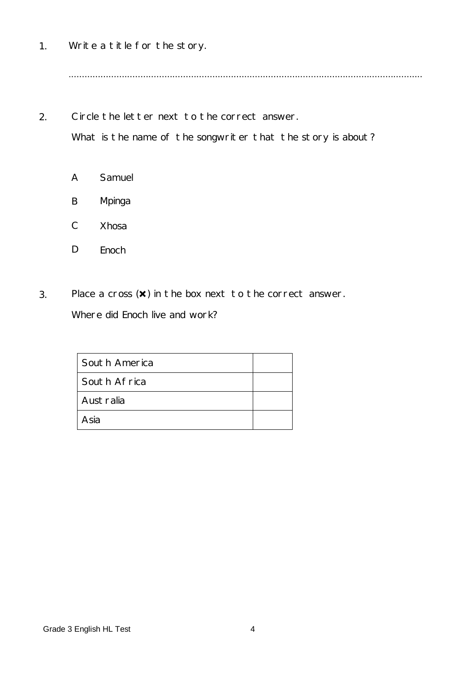1. Write a title for the story.

.....................................................................................................................................

2. Circle the letter next to the correct answer. What is the name of the songwriter that the story is about?

- A Samuel
- B Mpinga
- C Xhosa
- D Enoch
- 3. Place a cross  $(\times)$  in the box next to the correct answer. Where did Enoch live and work?

| South America |  |
|---------------|--|
| South Africa  |  |
| Australia     |  |
| Asia          |  |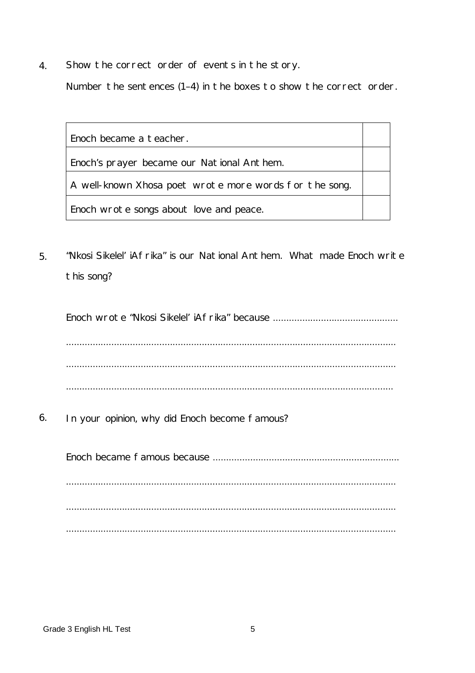4. Show the correct order of events in the story.

Number the sentences (1–4) in the boxes to show the correct order.

Enoch became a teacher.

Enoch's prayer became our National Anthem.

A well-known Xhosa poet wrote more words for the song.

Enoch wrote songs about love and peace.

5. "Nkosi Sikelel' iAfrika" is our National Anthem. What made Enoch write this song?

Enoch wrote "Nkosi Sikelel' iAfrika" because ............................................... ............................................................................................................................ ............................................................................................................................ ...........................................................................................................................

6. In your opinion, why did Enoch become famous?

Enoch became famous because ...................................................................... ............................................................................................................................ ............................................................................................................................ ............................................................................................................................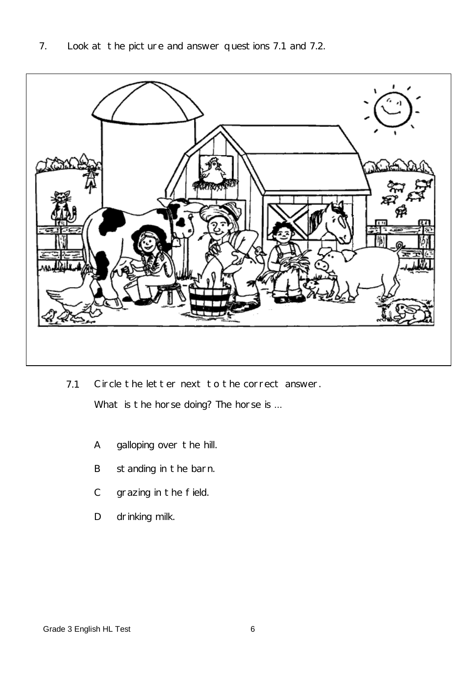

7.1 Circle the letter next to the correct answer.

What is the horse doing? The horse is ...

- A galloping over the hill.
- B standing in the barn.
- $\mathsf{C}$ grazing in the field.
- D drinking milk.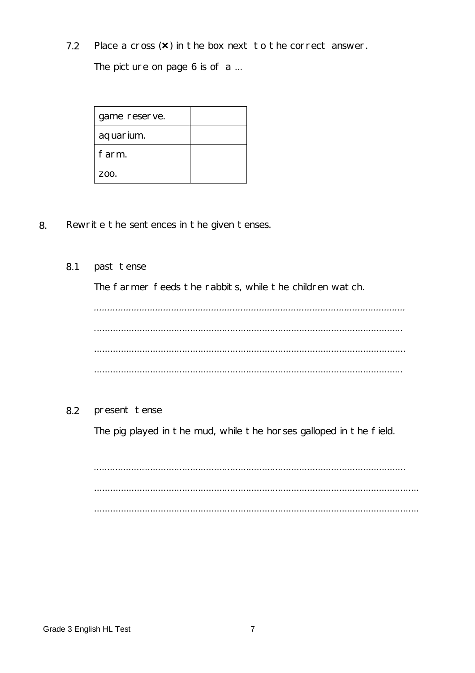Place a cross  $(x)$  in the box next to the correct answer.  $7.2$ 

The picture on page 6 is of a ...

| game reserve. |  |
|---------------|--|
| aquarium.     |  |
| farm.         |  |
| 700.          |  |

- 8. Rewrite the sentences in the given tenses.
	- 8.1 past tense

The farmer feeds the rabbits, while the children watch.

8.2 present tense

The pig played in the mud, while the horses galloped in the field.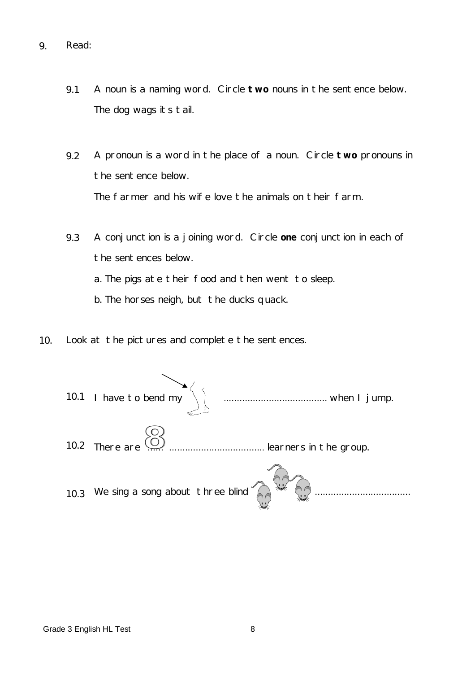- 9. Read:
	- 9.1 A noun is a naming word. Circle **two** nouns in the sentence below. The dog wags its tail.
	- 9.2 A pronoun is a word in the place of a noun. Circle **two** pronouns in the sentence below. The farmer and his wife love the animals on their farm.
	- 9.3 A conjunction is a joining word. Circle **one** conjunction in each of the sentences below.
		- a. The pigs ate their food and then went to sleep.
		- b. The horses neigh, but the ducks quack.
- 10. Look at the pictures and complete the sentences.

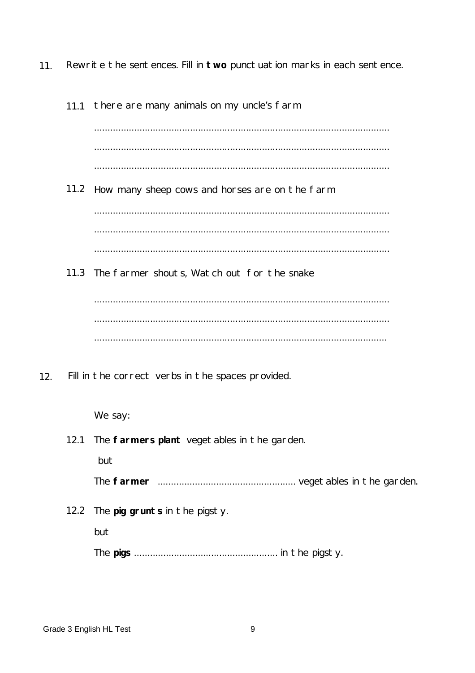$11.$ Rewrite the sentences. Fill in two punctuation marks in each sentence.

|     | 11.1 | there are many animals on my uncle's farm           |
|-----|------|-----------------------------------------------------|
|     |      |                                                     |
|     |      |                                                     |
|     |      |                                                     |
|     |      | 11.2 How many sheep cows and horses are on the farm |
|     |      |                                                     |
|     |      |                                                     |
|     |      |                                                     |
|     |      | 11.3 The farmer shouts, Watch out for the snake     |
|     |      |                                                     |
|     |      |                                                     |
|     |      |                                                     |
| 12. |      | Fill in the correct verbs in the spaces provided.   |
|     |      | We say:                                             |
|     | 12.1 | The farmers plant vegetables in the garden.         |
|     |      | but                                                 |
|     |      |                                                     |
|     | 12.2 | The pig grunts in the pigsty.                       |
|     |      | but                                                 |
|     |      |                                                     |
|     |      |                                                     |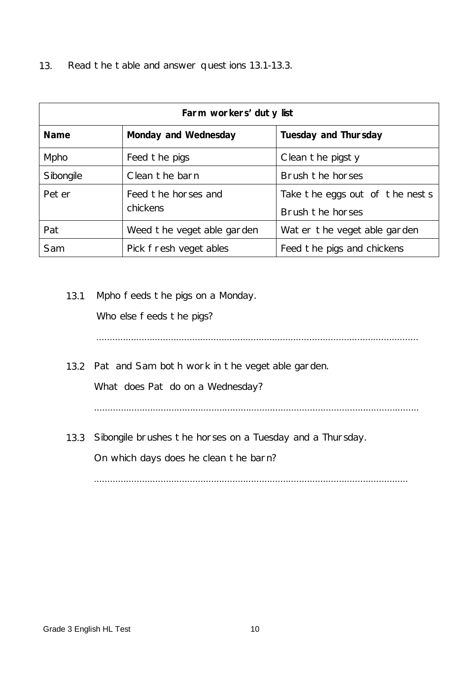13. Read the table and answer questions 13.1-13.3.

| Farm workers' duty list |                                 |                                                    |  |
|-------------------------|---------------------------------|----------------------------------------------------|--|
| <b>Name</b>             | <b>Monday and Wednesday</b>     | <b>Tuesday and Thursday</b>                        |  |
| Mpho                    | Feed the pigs                   | Clean the pigsty                                   |  |
| Sibongile               | Clean the barn                  | Brush the horses                                   |  |
| Peter                   | Feed the horses and<br>chickens | Take the eggs out of the nests<br>Brush the horses |  |
| Pat                     | Weed the vegetable garden       | Water the vegetable garden                         |  |
| Sam                     | Pick fresh vegetables           | Feed the pigs and chickens                         |  |

# 13.1 Mpho feeds the pigs on a Monday.

Who else feeds the pigs?

.........................................................................................................................

13.2 Pat and Sam both work in the vegetable garden.

What does Pat do on a Wednesday?

..........................................................................................................................

13.3 Sibongile brushes the horses on a Tuesday and a Thursday.

On which days does he clean the barn?

......................................................................................................................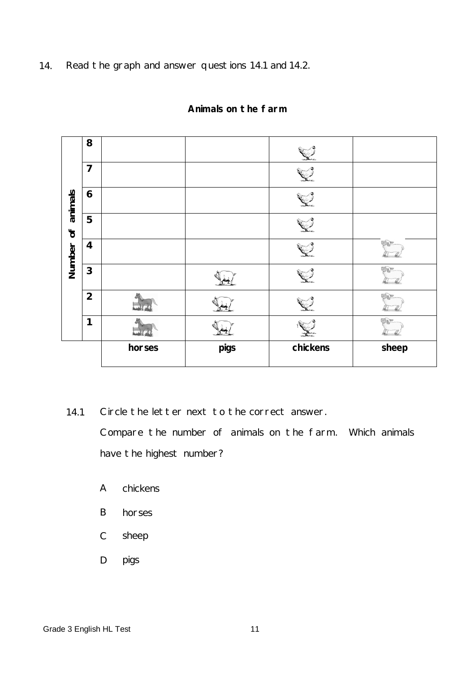14. Read the graph and answer questions 14.1 and 14.2.

|                         |                         | horses | pigs | chickens | sheep |
|-------------------------|-------------------------|--------|------|----------|-------|
|                         | 1                       |        |      |          |       |
|                         | $\overline{2}$          |        |      |          |       |
|                         | $\mathbf{3}$            |        |      |          |       |
| Number                  | $\overline{\mathbf{4}}$ |        |      |          | EINE  |
| $\mathsf{d} \mathsf{c}$ | 5                       |        |      |          |       |
| animals                 | $\boldsymbol{6}$        |        |      |          |       |
|                         | $\overline{7}$          |        |      |          |       |
|                         | 8                       |        |      |          |       |

## **Animals on the farm**

14.1 Circle the letter next to the correct answer. Compare the number of animals on the farm. Which animals have the highest number?

- A chickens
- B horses
- C sheep
- D pigs